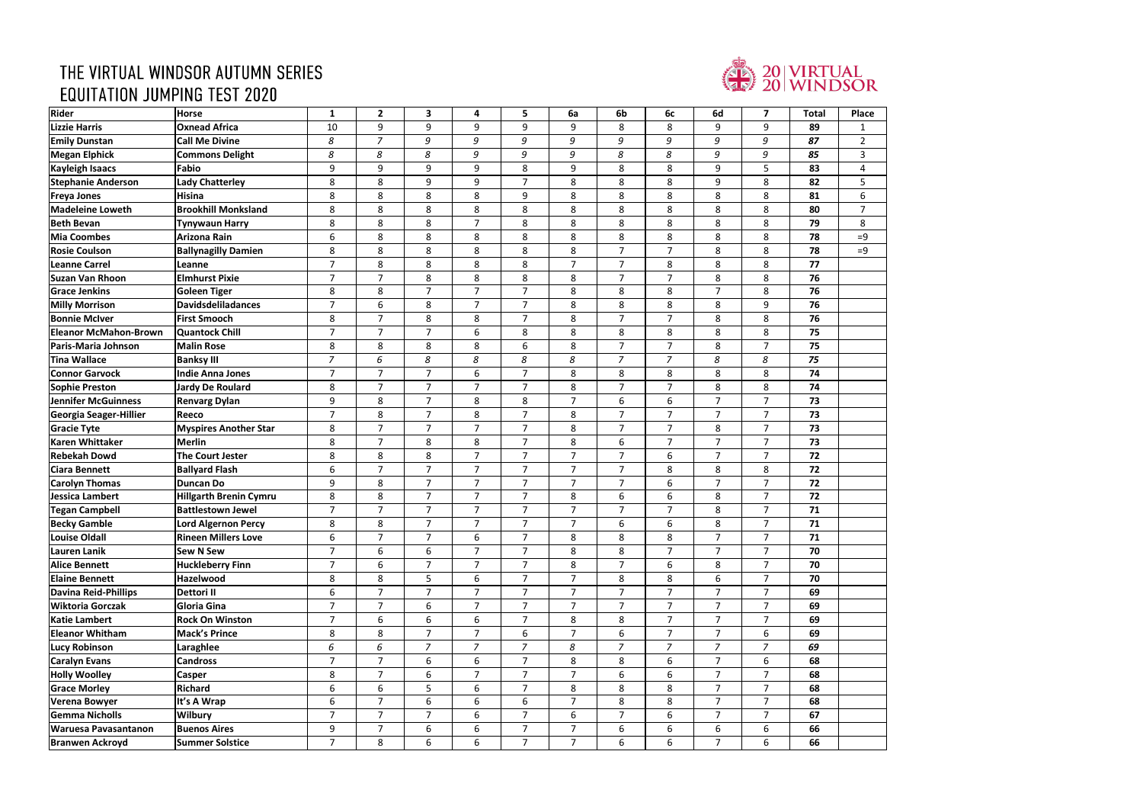## THE VIRTUAL WINDSOR AUTUMN SERIES **EQUITATION JUMPING TEST 2020**



| Rider                         | <b>Horse</b>                  | $\mathbf{1}$   | $\overline{2}$ | $\mathbf{3}$   | 4              | 5              | 6a             | 6b             | 6c             | 6d             | $\overline{7}$ | <b>Total</b> | Pla |
|-------------------------------|-------------------------------|----------------|----------------|----------------|----------------|----------------|----------------|----------------|----------------|----------------|----------------|--------------|-----|
| <b>Lizzie Harris</b>          | <b>Oxnead Africa</b>          | 10             | 9              | 9              | 9              | 9              | 9              | 8              | 8              | 9              | 9              | 89           |     |
| <b>Emily Dunstan</b>          | <b>Call Me Divine</b>         | 8              | $\overline{z}$ | 9              | 9              | 9              | 9              | 9              | 9              | 9              | 9              | 87           |     |
| <b>Megan Elphick</b>          | <b>Commons Delight</b>        | 8              | 8              | 8              | 9              | 9              | 9              | 8              | 8              | 9              | 9              | 85           |     |
| <b>Kayleigh Isaacs</b>        | Fabio                         | 9              | 9              | 9              | 9              | 8              | 9              | 8              | 8              | 9              | 5              | 83           |     |
| <b>Stephanie Anderson</b>     | <b>Lady Chatterley</b>        | 8              | 8              | 9              | 9              | $\overline{7}$ | 8              | 8              | 8              | 9              | 8              | 82           |     |
| <b>Freya Jones</b>            | <b>Hisina</b>                 | 8              | 8              | 8              | 8              | 9              | 8              | 8              | 8              | 8              | 8              | 81           |     |
| <b>Madeleine Loweth</b>       | <b>Brookhill Monksland</b>    | 8              | 8              | 8              | 8              | 8              | $\bf 8$        | 8              | 8              | 8              | 8              | 80           |     |
| <b>Beth Bevan</b>             | <b>Tynywaun Harry</b>         | 8              | 8              | 8              | $\overline{7}$ | 8              | 8              | 8              | 8              | 8              | 8              | 79           |     |
| <b>Mia Coombes</b>            | <b>Arizona Rain</b>           | 6              | 8              | 8              | 8              | 8              | 8              | 8              | 8              | 8              | 8              | 78           | $=$ |
| <b>Rosie Coulson</b>          | <b>Ballynagilly Damien</b>    | 8              | 8              | 8              | 8              | 8              | $\bf 8$        | $\overline{7}$ | $\overline{7}$ | 8              | 8              | 78           | $=$ |
| <b>Leanne Carrel</b>          | Leanne                        | $\overline{7}$ | 8              | 8              | 8              | 8              | $\overline{7}$ | $\overline{7}$ | 8              | 8              | 8              | 77           |     |
| <b>Suzan Van Rhoon</b>        | <b>Elmhurst Pixie</b>         | $\overline{7}$ | $\overline{7}$ | 8              | 8              | 8              | 8              | $\overline{7}$ | $\overline{7}$ | 8              | 8              | 76           |     |
| <b>Grace Jenkins</b>          | <b>Goleen Tiger</b>           | 8              | 8              | $\overline{7}$ | $\overline{7}$ | $\overline{7}$ | 8              | 8              | 8              | $\overline{7}$ | 8              | 76           |     |
| <b>Milly Morrison</b>         | <b>Davidsdeliladances</b>     | $\overline{7}$ | 6              | 8              | $\overline{7}$ | $\overline{7}$ | 8              | 8              | 8              | 8              | 9              | 76           |     |
| <b>Bonnie McIver</b>          | <b>First Smooch</b>           | 8              | $\overline{7}$ | 8              | 8              | $\overline{7}$ | 8              | $\overline{7}$ | $\overline{7}$ | 8              | 8              | 76           |     |
| <b>Eleanor McMahon-Brown</b>  | <b>Quantock Chill</b>         | $\overline{7}$ | $\overline{7}$ | $\overline{7}$ | 6              | 8              | 8              | 8              | 8              | 8              | 8              | 75           |     |
| <b>Paris-Maria Johnson</b>    | <b>Malin Rose</b>             | 8              | 8              | 8              | 8              | 6              | 8              | $\overline{7}$ | $\overline{7}$ | 8              | $\overline{7}$ | 75           |     |
| <b>Tina Wallace</b>           | <b>Banksy III</b>             | $\overline{7}$ | 6              | 8              | 8              | 8              | 8              | $\overline{7}$ | $\overline{z}$ | 8              | 8              | 75           |     |
| <b>Connor Garvock</b>         | <b>Indie Anna Jones</b>       | $\overline{7}$ | $\overline{7}$ | $\overline{7}$ | 6              | $\overline{7}$ | 8              | 8              | 8              | 8              | 8              | 74           |     |
| <b>Sophie Preston</b>         | <b>Jardy De Roulard</b>       | 8              | $\overline{7}$ | $\overline{7}$ | $\overline{7}$ | $\overline{7}$ | 8              | $\overline{7}$ | $\overline{7}$ | 8              | 8              | 74           |     |
| <b>Jennifer McGuinness</b>    | <b>Renvarg Dylan</b>          | 9              | 8              | $\overline{7}$ | 8              | 8              | $\overline{7}$ | 6              | 6              | $\overline{7}$ | $\overline{7}$ | 73           |     |
| <b>Georgia Seager-Hillier</b> | <b>Reeco</b>                  | $\overline{7}$ | 8              | $\overline{7}$ | 8              | $\overline{7}$ | 8              | $\overline{7}$ | $\overline{7}$ | $\overline{7}$ | $\overline{7}$ | 73           |     |
| <b>Gracie Tyte</b>            | <b>Myspires Another Star</b>  | 8              | $\overline{7}$ | $\overline{7}$ | $\overline{7}$ | $\overline{7}$ | 8              | $\overline{7}$ | $\overline{7}$ | 8              | $\overline{7}$ | 73           |     |
| <b>Karen Whittaker</b>        | <b>Merlin</b>                 | 8              | $\overline{7}$ | 8              | 8              | $\overline{7}$ | 8              | 6              | $\overline{7}$ | $\overline{7}$ | $\overline{7}$ | 73           |     |
| <b>Rebekah Dowd</b>           | <b>The Court Jester</b>       | 8              | 8              | 8              | $\overline{7}$ | $\overline{7}$ | $\overline{7}$ | $\overline{7}$ | 6              | $\overline{7}$ | $\overline{7}$ | 72           |     |
| <b>Ciara Bennett</b>          | <b>Ballyard Flash</b>         | 6              | $\overline{7}$ | $\overline{7}$ | $\overline{7}$ | $\overline{7}$ | $\overline{7}$ | $\overline{7}$ | 8              | 8              | 8              | 72           |     |
| <b>Carolyn Thomas</b>         | <b>Duncan Do</b>              | 9              | 8              | $\overline{7}$ | $\overline{7}$ | $\overline{7}$ | $\overline{7}$ | $\overline{7}$ | 6              | $\overline{7}$ | $\overline{7}$ | 72           |     |
| Jessica Lambert               | <b>Hillgarth Brenin Cymru</b> | 8              | 8              | $\overline{7}$ | $\overline{7}$ | $\overline{7}$ | 8              | 6              | 6              | 8              | $\overline{7}$ | 72           |     |
| <b>Tegan Campbell</b>         | <b>Battlestown Jewel</b>      | $\overline{7}$ | $\overline{7}$ | $\overline{7}$ | $\overline{7}$ | $\overline{7}$ | $\overline{7}$ | $\overline{7}$ | $\overline{7}$ | 8              | $\overline{7}$ | 71           |     |
| <b>Becky Gamble</b>           | <b>Lord Algernon Percy</b>    | 8              | 8              | $\overline{7}$ | $\overline{7}$ | $\overline{7}$ | $\overline{7}$ | 6              | 6              | 8              | $\overline{7}$ | 71           |     |
| <b>Louise Oldall</b>          | <b>Rineen Millers Love</b>    | 6              | $\overline{7}$ | 7 <sup>7</sup> | 6              | $\overline{7}$ | 8              | 8              | 8              | $\overline{7}$ | 7 <sup>1</sup> | 71           |     |
| Lauren Lanik                  | <b>Sew N Sew</b>              | $\overline{7}$ | 6              | 6              | $\overline{7}$ | $\overline{7}$ | 8              | 8              | $\overline{7}$ | $\overline{7}$ | $\overline{7}$ | 70           |     |
| <b>Alice Bennett</b>          | <b>Huckleberry Finn</b>       | $\overline{7}$ | 6              | $\overline{7}$ | $\overline{7}$ | $\overline{7}$ | 8              | $\overline{7}$ | 6              | 8              | $\overline{7}$ | 70           |     |
| <b>Elaine Bennett</b>         | <b>Hazelwood</b>              | 8              | 8              | 5              | 6              | $\overline{7}$ | $\overline{7}$ | 8              | 8              | 6              | $\overline{7}$ | 70           |     |
| <b>Davina Reid-Phillips</b>   | <b>Dettori II</b>             | 6              | $\overline{7}$ | $\overline{7}$ | $\overline{7}$ | $\overline{7}$ | $\overline{7}$ | $\overline{7}$ | $\overline{7}$ | $\overline{7}$ | $\overline{7}$ | 69           |     |
| <b>Wiktoria Gorczak</b>       | Gloria Gina                   | $\overline{7}$ | $\overline{7}$ | 6              | $\overline{7}$ | $\overline{7}$ | $\overline{7}$ | $\overline{7}$ | $\overline{7}$ | $\overline{7}$ | $\overline{7}$ | 69           |     |
| <b>Katie Lambert</b>          | <b>Rock On Winston</b>        | $\overline{7}$ | 6              | 6              | 6              | 7              | 8              | 8              | $\overline{7}$ | 7              | $\overline{7}$ | 69           |     |
| <b>Eleanor Whitham</b>        | <b>Mack's Prince</b>          | 8              | 8              | 7 <sup>1</sup> | $\overline{7}$ | 6              | $\overline{7}$ | 6              | $\overline{7}$ | $\overline{7}$ | 6              | 69           |     |
| <b>Lucy Robinson</b>          | Laraghlee                     | 6              | 6              | $\overline{7}$ | $\overline{7}$ | $\overline{7}$ | 8              | $\overline{z}$ | $\overline{7}$ | $\overline{7}$ | $\overline{7}$ | 69           |     |
| <b>Caralyn Evans</b>          | <b>Candross</b>               | $\overline{7}$ | $\overline{7}$ | 6              | 6              | $\overline{7}$ | 8              | 8              | 6              | 7              | 6              | 68           |     |
| <b>Holly Woolley</b>          | <b>Casper</b>                 | 8              | $\overline{7}$ | 6              | $\overline{7}$ | $\overline{7}$ | $\overline{7}$ | 6              | 6              | $\overline{7}$ | $\overline{7}$ | 68           |     |
| <b>Grace Morley</b>           | <b>Richard</b>                | 6              | 6              | 5              | 6              | $\overline{7}$ | 8              | 8              | 8              | $\overline{7}$ | $\overline{7}$ | 68           |     |
| Verena Bowyer                 | It's A Wrap                   | 6              | $\overline{7}$ | 6              | 6              | 6              | $\overline{7}$ | 8              | 8              | $\overline{7}$ | $\overline{7}$ | 68           |     |
| <b>Gemma Nicholls</b>         | <b>Wilbury</b>                | $\overline{7}$ | $\overline{7}$ | $\overline{7}$ | 6              | $\overline{7}$ | 6              | $\overline{7}$ | 6              | $\overline{7}$ | $\overline{7}$ | 67           |     |
| <b>Waruesa Pavasantanon</b>   | <b>Buenos Aires</b>           | 9              | $\overline{7}$ | 6              | 6              | $\overline{7}$ | $\overline{7}$ | 6              | 6              | 6              | 6              | 66           |     |
| <b>Branwen Ackroyd</b>        | <b>Summer Solstice</b>        | $\overline{7}$ | 8              | 6              | 6              | $\overline{7}$ | $\overline{7}$ | 6              | 6              | $\overline{7}$ | 6              | 66           |     |

| $\overline{\mathbf{C}}$<br>$\overline{\cdot}$                                                                                                                                                                                                                                                                                                                        |
|----------------------------------------------------------------------------------------------------------------------------------------------------------------------------------------------------------------------------------------------------------------------------------------------------------------------------------------------------------------------|
|                                                                                                                                                                                                                                                                                                                                                                      |
|                                                                                                                                                                                                                                                                                                                                                                      |
| $\frac{1}{\sqrt{2}}$ $\frac{1}{\sqrt{2}}$ $\frac{1}{\sqrt{2}}$ $\frac{1}{\sqrt{2}}$ $\frac{1}{\sqrt{2}}$ $\frac{1}{\sqrt{2}}$ $\frac{1}{\sqrt{2}}$ $\frac{1}{\sqrt{2}}$ $\frac{1}{\sqrt{2}}$ $\frac{1}{\sqrt{2}}$ $\frac{1}{\sqrt{2}}$ $\frac{1}{\sqrt{2}}$ $\frac{1}{\sqrt{2}}$ $\frac{1}{\sqrt{2}}$ $\frac{1}{\sqrt{2}}$ $\frac{1}{\sqrt{2}}$ $\frac{1}{\sqrt{2}}$ |
|                                                                                                                                                                                                                                                                                                                                                                      |
|                                                                                                                                                                                                                                                                                                                                                                      |
|                                                                                                                                                                                                                                                                                                                                                                      |
|                                                                                                                                                                                                                                                                                                                                                                      |
|                                                                                                                                                                                                                                                                                                                                                                      |
|                                                                                                                                                                                                                                                                                                                                                                      |
|                                                                                                                                                                                                                                                                                                                                                                      |
|                                                                                                                                                                                                                                                                                                                                                                      |
|                                                                                                                                                                                                                                                                                                                                                                      |
|                                                                                                                                                                                                                                                                                                                                                                      |
|                                                                                                                                                                                                                                                                                                                                                                      |
|                                                                                                                                                                                                                                                                                                                                                                      |
|                                                                                                                                                                                                                                                                                                                                                                      |
|                                                                                                                                                                                                                                                                                                                                                                      |
|                                                                                                                                                                                                                                                                                                                                                                      |
|                                                                                                                                                                                                                                                                                                                                                                      |
|                                                                                                                                                                                                                                                                                                                                                                      |
|                                                                                                                                                                                                                                                                                                                                                                      |
|                                                                                                                                                                                                                                                                                                                                                                      |
|                                                                                                                                                                                                                                                                                                                                                                      |
|                                                                                                                                                                                                                                                                                                                                                                      |
|                                                                                                                                                                                                                                                                                                                                                                      |
|                                                                                                                                                                                                                                                                                                                                                                      |
|                                                                                                                                                                                                                                                                                                                                                                      |
|                                                                                                                                                                                                                                                                                                                                                                      |
|                                                                                                                                                                                                                                                                                                                                                                      |
|                                                                                                                                                                                                                                                                                                                                                                      |
|                                                                                                                                                                                                                                                                                                                                                                      |
|                                                                                                                                                                                                                                                                                                                                                                      |
|                                                                                                                                                                                                                                                                                                                                                                      |
|                                                                                                                                                                                                                                                                                                                                                                      |
|                                                                                                                                                                                                                                                                                                                                                                      |
|                                                                                                                                                                                                                                                                                                                                                                      |
|                                                                                                                                                                                                                                                                                                                                                                      |
|                                                                                                                                                                                                                                                                                                                                                                      |
|                                                                                                                                                                                                                                                                                                                                                                      |
|                                                                                                                                                                                                                                                                                                                                                                      |
|                                                                                                                                                                                                                                                                                                                                                                      |
|                                                                                                                                                                                                                                                                                                                                                                      |
|                                                                                                                                                                                                                                                                                                                                                                      |
|                                                                                                                                                                                                                                                                                                                                                                      |
|                                                                                                                                                                                                                                                                                                                                                                      |
|                                                                                                                                                                                                                                                                                                                                                                      |
|                                                                                                                                                                                                                                                                                                                                                                      |
|                                                                                                                                                                                                                                                                                                                                                                      |